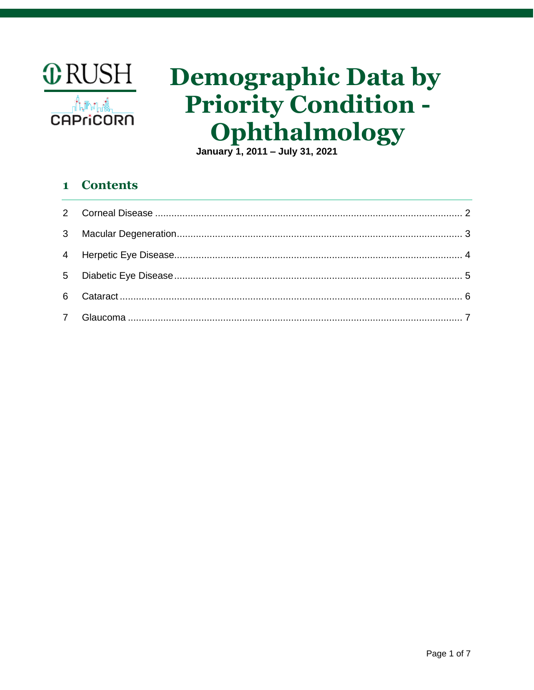

# **Demographic Data by Priority Condition -**Ophthalmology

January 1, 2011 - July 31, 2021

#### **Contents**  $\mathbf{1}$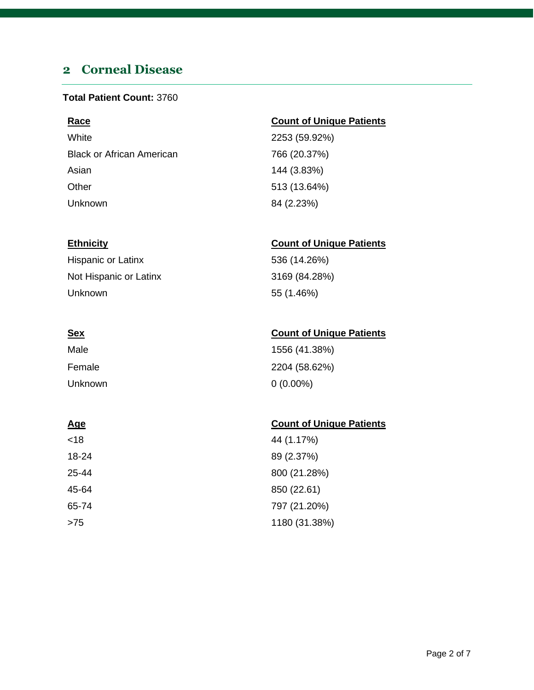# <span id="page-1-0"></span>**2 Corneal Disease**

#### **Total Patient Count:** 3760

| <b>Race</b>                      | <b>Count of Uni</b> |
|----------------------------------|---------------------|
| White                            | 2253 (59.92%        |
| <b>Black or African American</b> | 766 (20.37%)        |
| Asian                            | 144 (3.83%)         |
| Other                            | 513 (13.64%)        |
| Unknown                          | 84 (2.23%)          |
|                                  |                     |

Hispanic or Latinx 536 (14.26%) Not Hispanic or Latinx 3169 (84.28%) Unknown 55 (1.46%)

| Male    | 1556 (41.38%) |
|---------|---------------|
| Female  | 2204 (58.62%) |
| Unknown | $0(0.00\%)$   |

| <18   | 44 (1.17%)    |
|-------|---------------|
| 18-24 | 89 (2.37%)    |
| 25-44 | 800 (21.28%)  |
| 45-64 | 850 (22.61)   |
| 65-74 | 797 (21.20%)  |
| >75   | 1180 (31.38%) |

### **Race Count of Unique Patients**

 $9.92\%)$  $B(37%)$ 

### **Ethnicity Count of Unique Patients**

### **Sex Count of Unique Patients**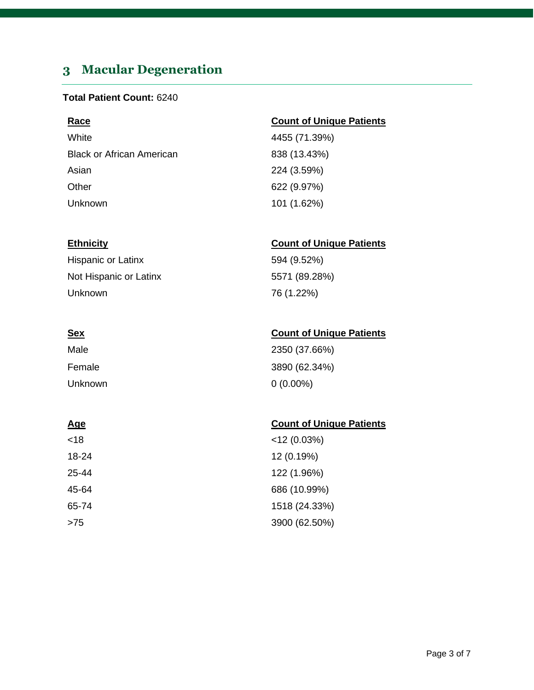# <span id="page-2-0"></span>**3 Macular Degeneration**

#### **Total Patient Count:** 6240

| <b>Race</b>                      | <b>Count of Unique Patients</b> |
|----------------------------------|---------------------------------|
| White                            | 4455 (71.39%)                   |
| <b>Black or African American</b> | 838 (13.43%)                    |
| Asian                            | 224 (3.59%)                     |
| Other                            | 622 (9.97%)                     |
| Unknown                          | 101 (1.62%)                     |

#### **Ethnicity Count of Unique Patients**

| Hispanic or Latinx     | 594 (9.52%)   |
|------------------------|---------------|
| Not Hispanic or Latinx | 5571 (89.28%) |
| Unknown                | 76 (1.22%)    |

| <u>Sex</u> | <b>Count of Unique Patients</b> |
|------------|---------------------------------|
| Male       | 2350 (37.66%)                   |
| Female     | 3890 (62.34%)                   |
| Unknown    | $0(0.00\%)$                     |

| <18   | $<$ 12 (0.03%) |
|-------|----------------|
| 18-24 | 12 (0.19%)     |
| 25-44 | 122 (1.96%)    |
| 45-64 | 686 (10.99%)   |
| 65-74 | 1518 (24.33%)  |
| >75   | 3900 (62.50%)  |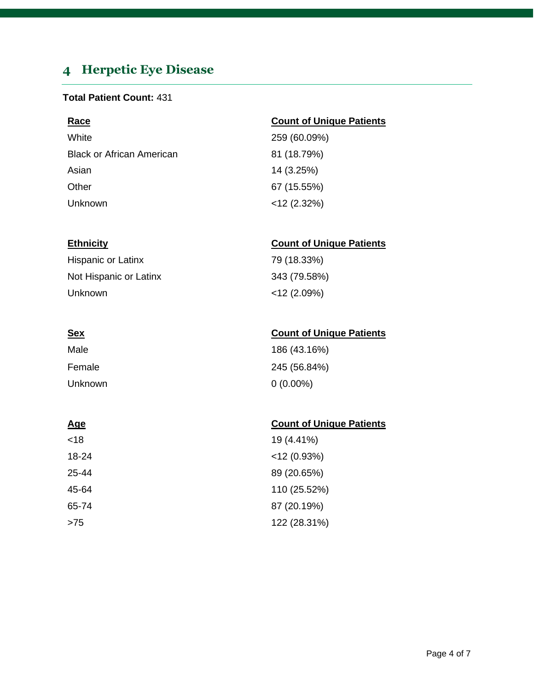# <span id="page-3-0"></span>**4 Herpetic Eye Disease**

### **Total Patient Count:** 431

| <b>Race</b>                      | <b>Count of Unique Patients</b> |
|----------------------------------|---------------------------------|
| White                            | 259 (60.09%)                    |
| <b>Black or African American</b> | 81 (18.79%)                     |
| Asian                            | 14 (3.25%)                      |
| Other                            | 67 (15.55%)                     |
| Unknown                          | $<$ 12 (2.32%)                  |

#### **Ethnicity Count of Unique Patients**

| <b>Hispanic or Latinx</b> | 79 (18.33%)    |
|---------------------------|----------------|
| Not Hispanic or Latinx    | 343 (79.58%)   |
| Unknown                   | $<$ 12 (2.09%) |

| <u>Sex</u> | <b>Count of Unique Patients</b> |
|------------|---------------------------------|
| Male       | 186 (43.16%)                    |
| Female     | 245 (56.84%)                    |
| Unknown    | $0(0.00\%)$                     |

| <18   | 19 (4.41%)     |
|-------|----------------|
| 18-24 | $<$ 12 (0.93%) |
| 25-44 | 89 (20.65%)    |
| 45-64 | 110 (25.52%)   |
| 65-74 | 87 (20.19%)    |
| >75   | 122 (28.31%)   |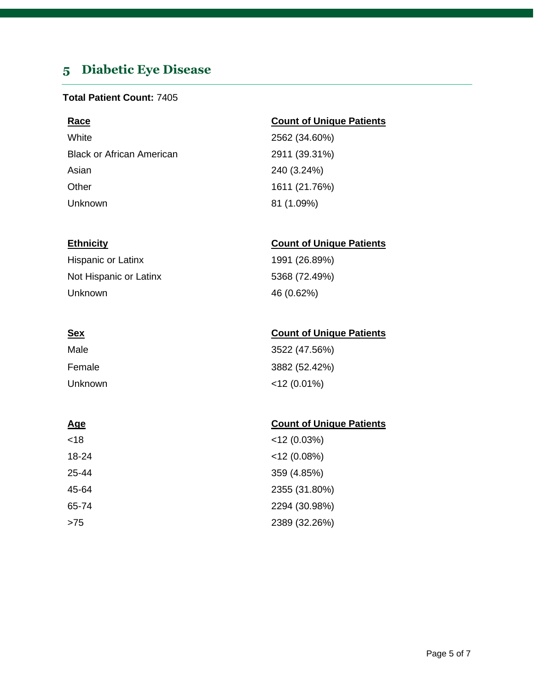# <span id="page-4-0"></span>**5 Diabetic Eye Disease**

#### **Total Patient Count:** 7405

White 2562 (34.60%) Black or African American 2911 (39.31%) Asian 240 (3.24%) Other 1611 (21.76%) Unknown 81 (1.09%)

Hispanic or Latinx 1991 (26.89%) Not Hispanic or Latinx 5368 (72.49%) Unknown 46 (0.62%)

| Male    | 3522 (47.56%)  |
|---------|----------------|
| Female  | 3882 (52.42%)  |
| Unknown | $<$ 12 (0.01%) |

<18 <12 (0.03%) 18-24 <12 (0.08%) 25-44 359 (4.85%) 45-64 2355 (31.80%) 65-74 2294 (30.98%) >75 2389 (32.26%)

### **Race Count of Unique Patients**

### **Ethnicity Count of Unique Patients**

### **Sex Count of Unique Patients**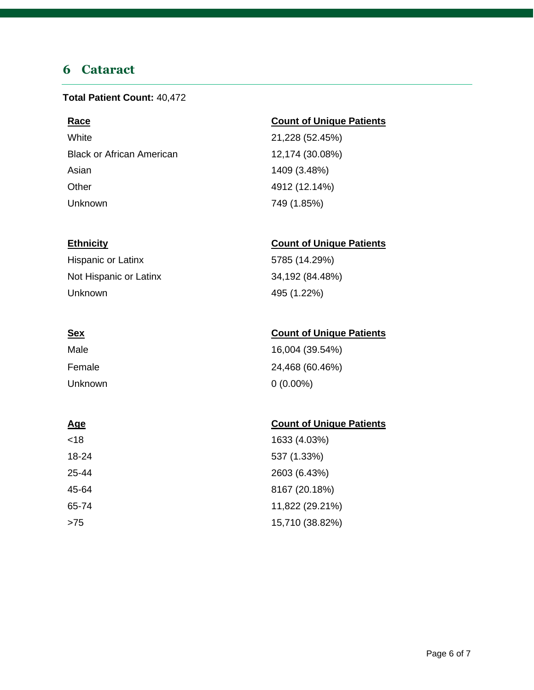### <span id="page-5-0"></span>**6 Cataract**

#### **Total Patient Count:** 40,472

White 21,228 (52.45%) Black or African American 12,174 (30.08%) Asian 1409 (3.48%) Other 4912 (12.14%) Unknown 749 (1.85%)

Hispanic or Latinx 5785 (14.29%) Not Hispanic or Latinx 34,192 (84.48%) Unknown 495 (1.22%)

| Male    | 16,004 (39.54%) |
|---------|-----------------|
| Female  | 24,468 (60.46%) |
| Unknown | $0(0.00\%)$     |

### **Age** Count of Unique Patients

| <18   | 1633 (4.03%)    |
|-------|-----------------|
| 18-24 | 537 (1.33%)     |
| 25-44 | 2603 (6.43%)    |
| 45-64 | 8167 (20.18%)   |
| 65-74 | 11,822 (29.21%) |
| >75   | 15,710 (38.82%) |

### **Race Count of Unique Patients**

### **Ethnicity Count of Unique Patients**